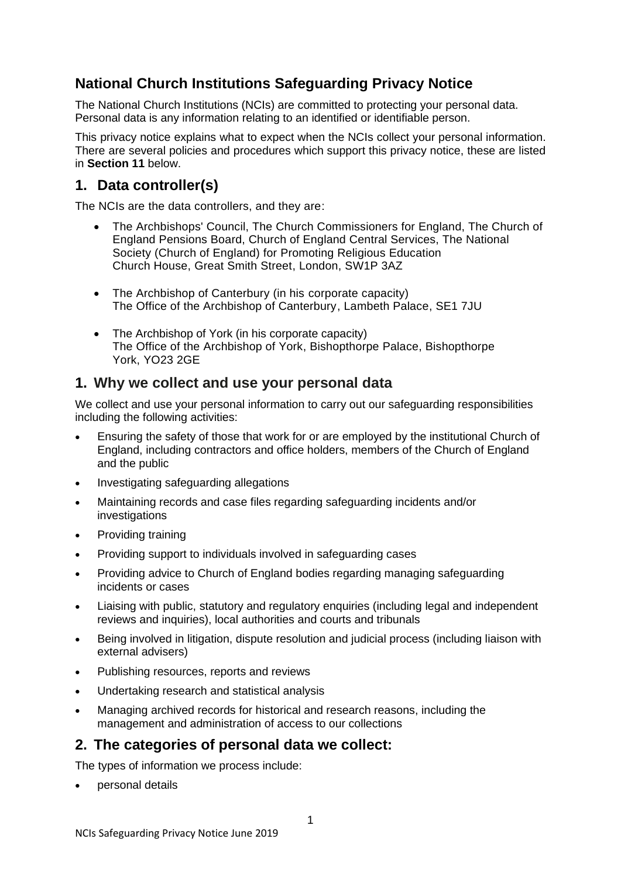# **National Church Institutions Safeguarding Privacy Notice**

The National Church Institutions (NCIs) are committed to protecting your personal data. Personal data is any information relating to an identified or identifiable person.

This privacy notice explains what to expect when the NCIs collect your personal information. There are several policies and procedures which support this privacy notice, these are listed in **Section 11** below.

## **1. Data controller(s)**

The NCIs are the data controllers, and they are:

- The Archbishops' Council, The Church Commissioners for England, The Church of England Pensions Board, Church of England Central Services, The National Society (Church of England) for Promoting Religious Education Church House, Great Smith Street, London, SW1P 3AZ
- The Archbishop of Canterbury (in his corporate capacity) The Office of the Archbishop of Canterbury, Lambeth Palace, SE1 7JU
- The Archbishop of York (in his corporate capacity) The Office of the Archbishop of York, Bishopthorpe Palace, Bishopthorpe York, YO23 2GE

## **1. Why we collect and use your personal data**

We collect and use your personal information to carry out our safeguarding responsibilities including the following activities:

- Ensuring the safety of those that work for or are employed by the institutional Church of England, including contractors and office holders, members of the Church of England and the public
- Investigating safeguarding allegations
- Maintaining records and case files regarding safeguarding incidents and/or investigations
- Providing training
- Providing support to individuals involved in safeguarding cases
- Providing advice to Church of England bodies regarding managing safeguarding incidents or cases
- Liaising with public, statutory and regulatory enquiries (including legal and independent reviews and inquiries), local authorities and courts and tribunals
- Being involved in litigation, dispute resolution and judicial process (including liaison with external advisers)
- Publishing resources, reports and reviews
- Undertaking research and statistical analysis
- Managing archived records for historical and research reasons, including the management and administration of access to our collections

### **2. The categories of personal data we collect:**

The types of information we process include:

• personal details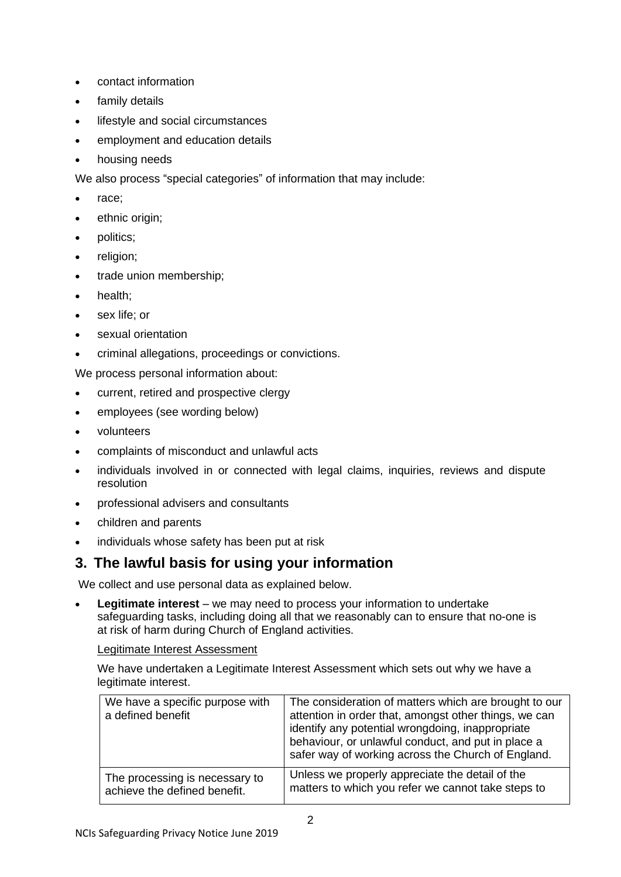- contact information
- family details
- lifestyle and social circumstances
- employment and education details
- housing needs

We also process "special categories" of information that may include:

- race;
- ethnic origin;
- politics;
- religion;
- trade union membership;
- health;
- sex life; or
- sexual orientation
- criminal allegations, proceedings or convictions.

We process personal information about:

- current, retired and prospective clergy
- employees (see wording below)
- volunteers
- complaints of misconduct and unlawful acts
- individuals involved in or connected with legal claims, inquiries, reviews and dispute resolution
- professional advisers and consultants
- children and parents
- individuals whose safety has been put at risk

### **3. The lawful basis for using your information**

We collect and use personal data as explained below.

• **Legitimate interest** – we may need to process your information to undertake safeguarding tasks, including doing all that we reasonably can to ensure that no-one is at risk of harm during Church of England activities.

#### Legitimate Interest Assessment

We have undertaken a Legitimate Interest Assessment which sets out why we have a legitimate interest.

| We have a specific purpose with<br>a defined benefit | The consideration of matters which are brought to our<br>attention in order that, amongst other things, we can<br>identify any potential wrongdoing, inappropriate<br>behaviour, or unlawful conduct, and put in place a<br>safer way of working across the Church of England. |
|------------------------------------------------------|--------------------------------------------------------------------------------------------------------------------------------------------------------------------------------------------------------------------------------------------------------------------------------|
| The processing is necessary to                       | Unless we properly appreciate the detail of the                                                                                                                                                                                                                                |
| achieve the defined benefit.                         | matters to which you refer we cannot take steps to                                                                                                                                                                                                                             |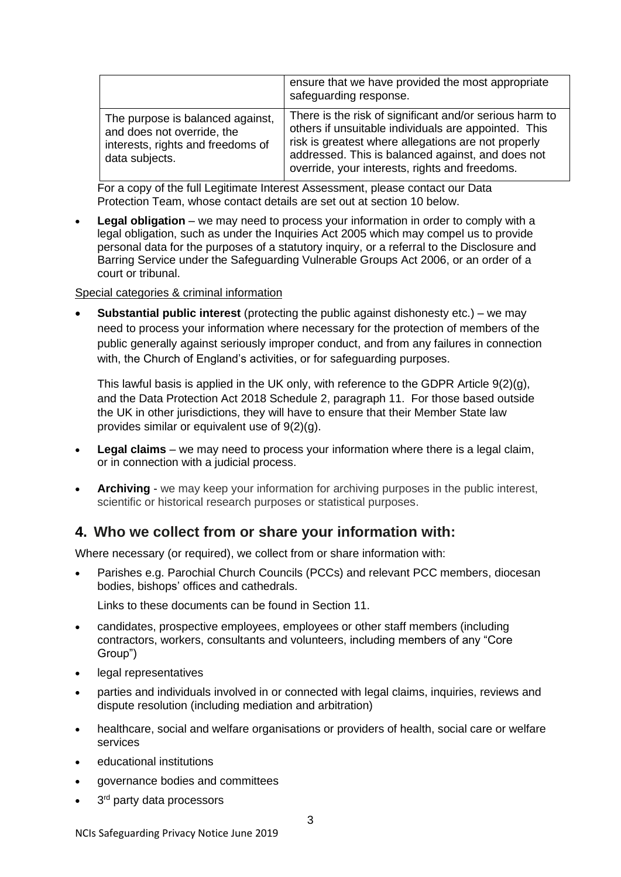|                                                                                                                       | ensure that we have provided the most appropriate<br>safeguarding response.                                                                                                                                                                                                   |
|-----------------------------------------------------------------------------------------------------------------------|-------------------------------------------------------------------------------------------------------------------------------------------------------------------------------------------------------------------------------------------------------------------------------|
| The purpose is balanced against,<br>and does not override, the<br>interests, rights and freedoms of<br>data subjects. | There is the risk of significant and/or serious harm to<br>others if unsuitable individuals are appointed. This<br>risk is greatest where allegations are not properly<br>addressed. This is balanced against, and does not<br>override, your interests, rights and freedoms. |

For a copy of the full Legitimate Interest Assessment, please contact our Data Protection Team, whose contact details are set out at section 10 below.

**Legal obligation** – we may need to process your information in order to comply with a legal obligation, such as under the Inquiries Act 2005 which may compel us to provide personal data for the purposes of a statutory inquiry, or a referral to the Disclosure and Barring Service under the Safeguarding Vulnerable Groups Act 2006, or an order of a court or tribunal.

#### Special categories & criminal information

**Substantial public interest** (protecting the public against dishonesty etc.) – we may need to process your information where necessary for the protection of members of the public generally against seriously improper conduct, and from any failures in connection with, the Church of England's activities, or for safeguarding purposes.

This lawful basis is applied in the UK only, with reference to the GDPR Article  $9(2)(q)$ , and the Data Protection Act 2018 Schedule 2, paragraph 11. For those based outside the UK in other jurisdictions, they will have to ensure that their Member State law provides similar or equivalent use of 9(2)(g).

- **Legal claims** we may need to process your information where there is a legal claim, or in connection with a judicial process.
- **Archiving**  we may keep your information for archiving purposes in the public interest, scientific or historical research purposes or statistical purposes.

#### **4. Who we collect from or share your information with:**

Where necessary (or required), we collect from or share information with:

• Parishes e.g. Parochial Church Councils (PCCs) and relevant PCC members, diocesan bodies, bishops' offices and cathedrals.

Links to these documents can be found in Section 11.

- candidates, prospective employees, employees or other staff members (including contractors, workers, consultants and volunteers, including members of any "Core Group")
- legal representatives
- parties and individuals involved in or connected with legal claims, inquiries, reviews and dispute resolution (including mediation and arbitration)
- healthcare, social and welfare organisations or providers of health, social care or welfare services
- educational institutions
- governance bodies and committees
- $\bullet$  3<sup>rd</sup> party data processors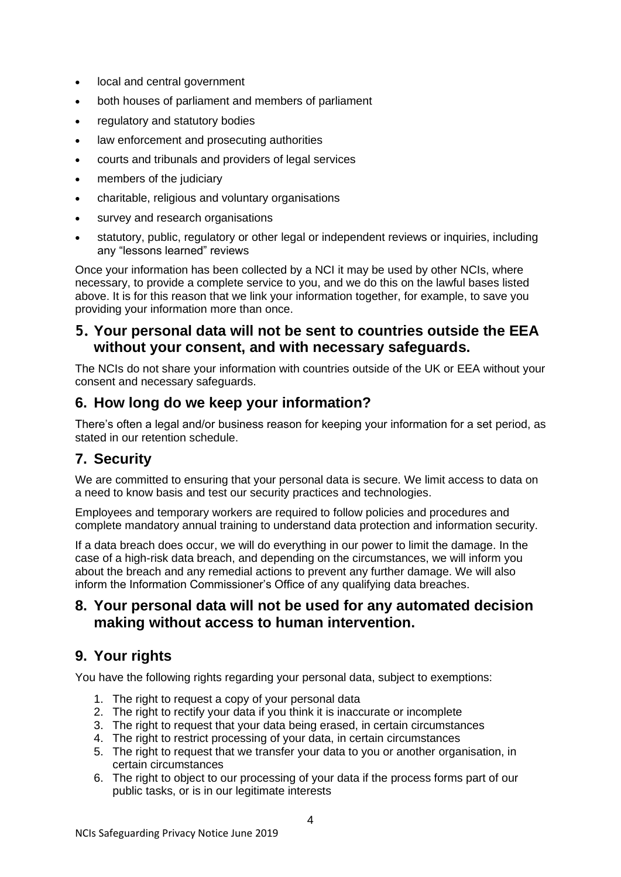- local and central government
- both houses of parliament and members of parliament
- regulatory and statutory bodies
- law enforcement and prosecuting authorities
- courts and tribunals and providers of legal services
- members of the judiciary
- charitable, religious and voluntary organisations
- survey and research organisations
- statutory, public, regulatory or other legal or independent reviews or inquiries, including any "lessons learned" reviews

Once your information has been collected by a NCI it may be used by other NCIs, where necessary, to provide a complete service to you, and we do this on the lawful bases listed above. It is for this reason that we link your information together, for example, to save you providing your information more than once.

#### **5. Your personal data will not be sent to countries outside the EEA without your consent, and with necessary safeguards.**

The NCIs do not share your information with countries outside of the UK or EEA without your consent and necessary safeguards.

## **6. How long do we keep your information?**

There's often a legal and/or business reason for keeping your information for a set period, as stated in our retention schedule.

## **7. Security**

We are committed to ensuring that your personal data is secure. We limit access to data on a need to know basis and test our security practices and technologies.

Employees and temporary workers are required to follow policies and procedures and complete mandatory annual training to understand data protection and information security.

If a data breach does occur, we will do everything in our power to limit the damage. In the case of a high-risk data breach, and depending on the circumstances, we will inform you about the breach and any remedial actions to prevent any further damage. We will also inform the Information Commissioner's Office of any qualifying data breaches.

### **8. Your personal data will not be used for any automated decision making without access to human intervention.**

## **9. Your rights**

You have the following rights regarding your personal data, subject to exemptions:

- 1. The right to request a copy of your personal data
- 2. The right to rectify your data if you think it is inaccurate or incomplete
- 3. The right to request that your data being erased, in certain circumstances
- 4. The right to restrict processing of your data, in certain circumstances
- 5. The right to request that we transfer your data to you or another organisation, in certain circumstances
- 6. The right to object to our processing of your data if the process forms part of our public tasks, or is in our legitimate interests